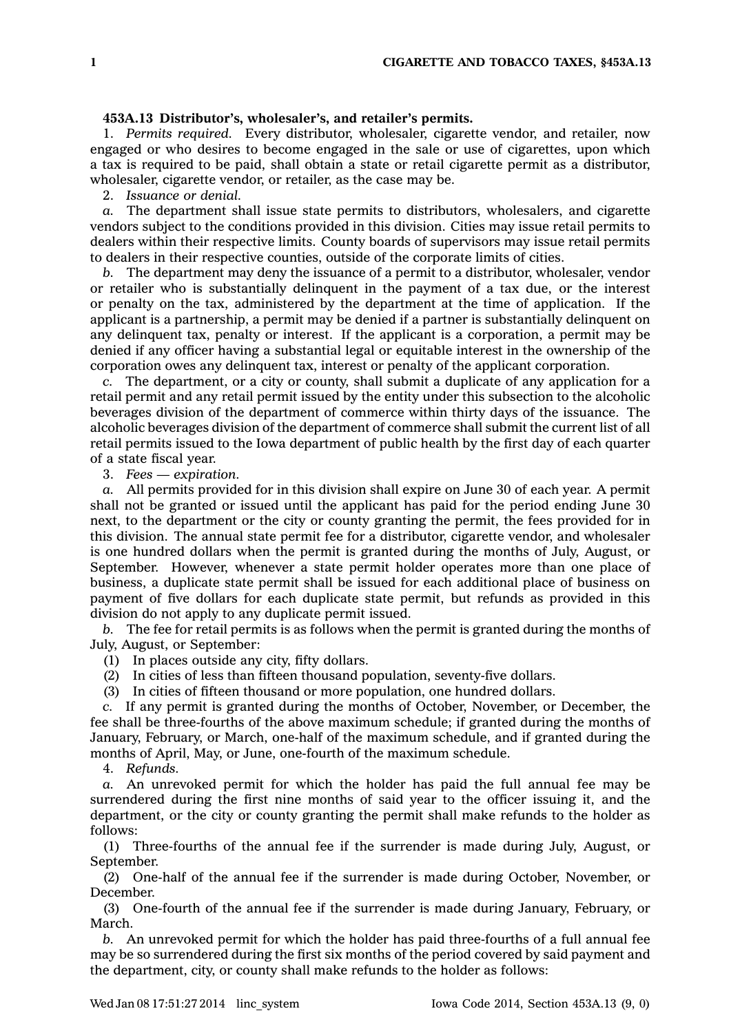## **453A.13 Distributor's, wholesaler's, and retailer's permits.**

1. *Permits required.* Every distributor, wholesaler, cigarette vendor, and retailer, now engaged or who desires to become engaged in the sale or use of cigarettes, upon which <sup>a</sup> tax is required to be paid, shall obtain <sup>a</sup> state or retail cigarette permit as <sup>a</sup> distributor, wholesaler, cigarette vendor, or retailer, as the case may be.

2. *Issuance or denial.*

*a.* The department shall issue state permits to distributors, wholesalers, and cigarette vendors subject to the conditions provided in this division. Cities may issue retail permits to dealers within their respective limits. County boards of supervisors may issue retail permits to dealers in their respective counties, outside of the corporate limits of cities.

*b.* The department may deny the issuance of <sup>a</sup> permit to <sup>a</sup> distributor, wholesaler, vendor or retailer who is substantially delinquent in the payment of <sup>a</sup> tax due, or the interest or penalty on the tax, administered by the department at the time of application. If the applicant is <sup>a</sup> partnership, <sup>a</sup> permit may be denied if <sup>a</sup> partner is substantially delinquent on any delinquent tax, penalty or interest. If the applicant is <sup>a</sup> corporation, <sup>a</sup> permit may be denied if any officer having <sup>a</sup> substantial legal or equitable interest in the ownership of the corporation owes any delinquent tax, interest or penalty of the applicant corporation.

*c.* The department, or <sup>a</sup> city or county, shall submit <sup>a</sup> duplicate of any application for <sup>a</sup> retail permit and any retail permit issued by the entity under this subsection to the alcoholic beverages division of the department of commerce within thirty days of the issuance. The alcoholic beverages division of the department of commerce shall submit the current list of all retail permits issued to the Iowa department of public health by the first day of each quarter of <sup>a</sup> state fiscal year.

3. *Fees — expiration.*

*a.* All permits provided for in this division shall expire on June 30 of each year. A permit shall not be granted or issued until the applicant has paid for the period ending June 30 next, to the department or the city or county granting the permit, the fees provided for in this division. The annual state permit fee for <sup>a</sup> distributor, cigarette vendor, and wholesaler is one hundred dollars when the permit is granted during the months of July, August, or September. However, whenever <sup>a</sup> state permit holder operates more than one place of business, <sup>a</sup> duplicate state permit shall be issued for each additional place of business on payment of five dollars for each duplicate state permit, but refunds as provided in this division do not apply to any duplicate permit issued.

*b.* The fee for retail permits is as follows when the permit is granted during the months of July, August, or September:

(1) In places outside any city, fifty dollars.

(2) In cities of less than fifteen thousand population, seventy-five dollars.

(3) In cities of fifteen thousand or more population, one hundred dollars.

*c.* If any permit is granted during the months of October, November, or December, the fee shall be three-fourths of the above maximum schedule; if granted during the months of January, February, or March, one-half of the maximum schedule, and if granted during the months of April, May, or June, one-fourth of the maximum schedule.

4. *Refunds.*

*a.* An unrevoked permit for which the holder has paid the full annual fee may be surrendered during the first nine months of said year to the officer issuing it, and the department, or the city or county granting the permit shall make refunds to the holder as follows:

(1) Three-fourths of the annual fee if the surrender is made during July, August, or September.

(2) One-half of the annual fee if the surrender is made during October, November, or December.

(3) One-fourth of the annual fee if the surrender is made during January, February, or March.

*b.* An unrevoked permit for which the holder has paid three-fourths of <sup>a</sup> full annual fee may be so surrendered during the first six months of the period covered by said payment and the department, city, or county shall make refunds to the holder as follows: